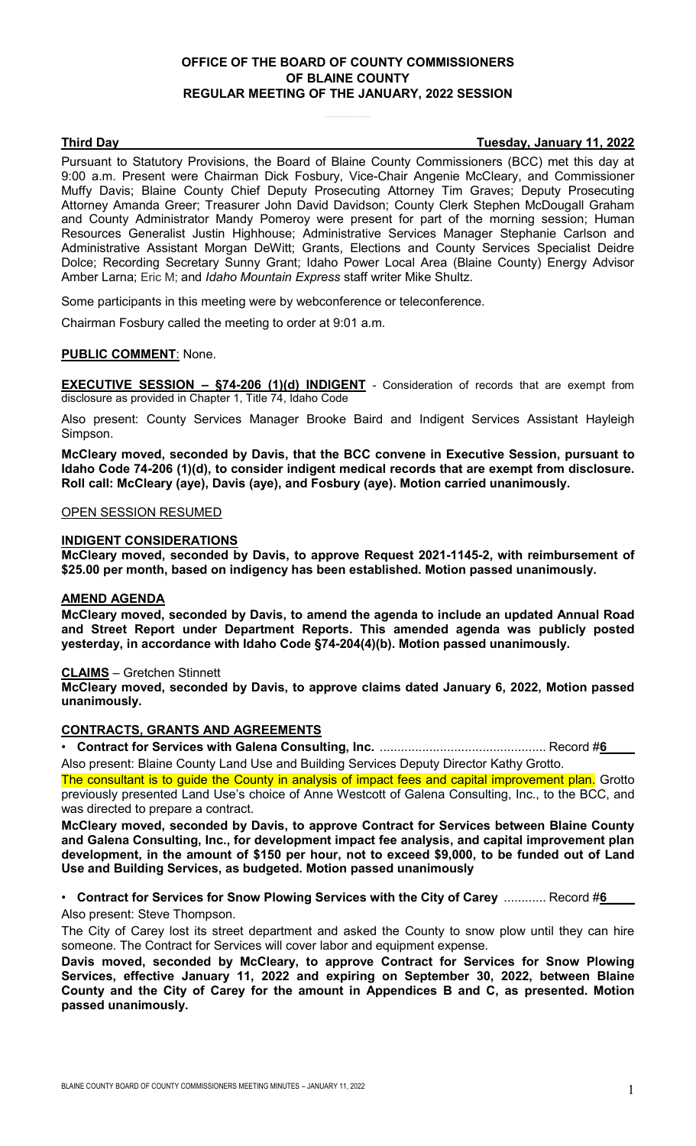## **OFFICE OF THE BOARD OF COUNTY COMMISSIONERS OF BLAINE COUNTY REGULAR MEETING OF THE JANUARY, 2022 SESSION**

**Third Day Tuesday, January 11, 2022**

Pursuant to Statutory Provisions, the Board of Blaine County Commissioners (BCC) met this day at 9:00 a.m. Present were Chairman Dick Fosbury, Vice-Chair Angenie McCleary, and Commissioner Muffy Davis; Blaine County Chief Deputy Prosecuting Attorney Tim Graves; Deputy Prosecuting Attorney Amanda Greer; Treasurer John David Davidson; County Clerk Stephen McDougall Graham and County Administrator Mandy Pomeroy were present for part of the morning session; Human Resources Generalist Justin Highhouse; Administrative Services Manager Stephanie Carlson and Administrative Assistant Morgan DeWitt; Grants, Elections and County Services Specialist Deidre Dolce; Recording Secretary Sunny Grant; Idaho Power Local Area (Blaine County) Energy Advisor Amber Larna; Eric M; and *Idaho Mountain Express* staff writer Mike Shultz.

Some participants in this meeting were by webconference or teleconference.

Chairman Fosbury called the meeting to order at 9:01 a.m.

## **PUBLIC COMMENT**: None.

**EXECUTIVE SESSION – §74-206 (1)(d) INDIGENT** - Consideration of records that are exempt from disclosure as provided in Chapter 1, Title 74, Idaho Code

Also present: County Services Manager Brooke Baird and Indigent Services Assistant Hayleigh Simpson.

**McCleary moved, seconded by Davis, that the BCC convene in Executive Session, pursuant to Idaho Code 74-206 (1)(d), to consider indigent medical records that are exempt from disclosure. Roll call: McCleary (aye), Davis (aye), and Fosbury (aye). Motion carried unanimously.**

## OPEN SESSION RESUMED

#### **INDIGENT CONSIDERATIONS**

**McCleary moved, seconded by Davis, to approve Request 2021-1145-2, with reimbursement of \$25.00 per month, based on indigency has been established. Motion passed unanimously.**

## **AMEND AGENDA**

**McCleary moved, seconded by Davis, to amend the agenda to include an updated Annual Road and Street Report under Department Reports. This amended agenda was publicly posted yesterday, in accordance with Idaho Code §74-204(4)(b). Motion passed unanimously.**

#### **CLAIMS** – Gretchen Stinnett

**McCleary moved, seconded by Davis, to approve claims dated January 6, 2022, Motion passed unanimously.**

#### **CONTRACTS, GRANTS AND AGREEMENTS**

• **Contract for Services with Galena Consulting, Inc.** ............................................... Record #**6\_\_\_\_** Also present: Blaine County Land Use and Building Services Deputy Director Kathy Grotto.

The consultant is to guide the County in analysis of impact fees and capital improvement plan. Grotto previously presented Land Use's choice of Anne Westcott of Galena Consulting, Inc., to the BCC, and was directed to prepare a contract.

**McCleary moved, seconded by Davis, to approve Contract for Services between Blaine County and Galena Consulting, Inc., for development impact fee analysis, and capital improvement plan development, in the amount of \$150 per hour, not to exceed \$9,000, to be funded out of Land Use and Building Services, as budgeted. Motion passed unanimously**

• Contract for Services for Snow Plowing Services with the City of Carey ............ Record #6 Also present: Steve Thompson.

The City of Carey lost its street department and asked the County to snow plow until they can hire someone. The Contract for Services will cover labor and equipment expense.

**Davis moved, seconded by McCleary, to approve Contract for Services for Snow Plowing Services, effective January 11, 2022 and expiring on September 30, 2022, between Blaine County and the City of Carey for the amount in Appendices B and C, as presented. Motion passed unanimously.**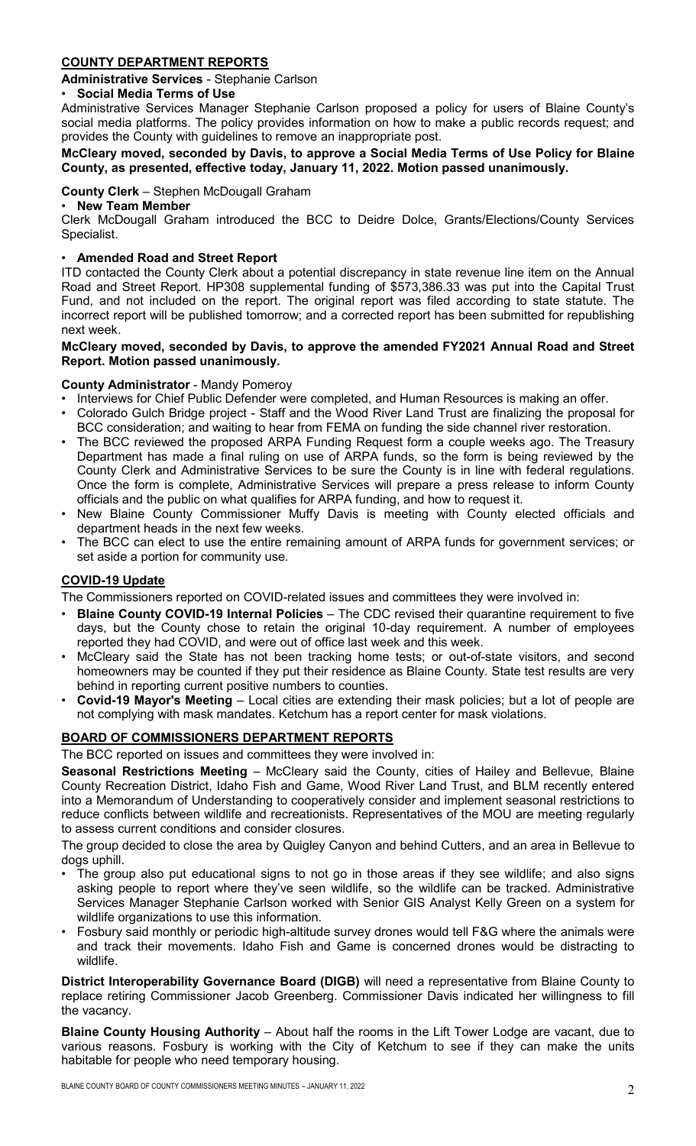## **COUNTY DEPARTMENT REPORTS**

## **Administrative Services** - Stephanie Carlson

## • **Social Media Terms of Use**

Administrative Services Manager Stephanie Carlson proposed a policy for users of Blaine County's social media platforms. The policy provides information on how to make a public records request; and provides the County with guidelines to remove an inappropriate post.

## **McCleary moved, seconded by Davis, to approve a Social Media Terms of Use Policy for Blaine County, as presented, effective today, January 11, 2022. Motion passed unanimously.**

## **County Clerk** – Stephen McDougall Graham

## • **New Team Member**

Clerk McDougall Graham introduced the BCC to Deidre Dolce, Grants/Elections/County Services Specialist.

## • **Amended Road and Street Report**

ITD contacted the County Clerk about a potential discrepancy in state revenue line item on the Annual Road and Street Report. HP308 supplemental funding of \$573,386.33 was put into the Capital Trust Fund, and not included on the report. The original report was filed according to state statute. The incorrect report will be published tomorrow; and a corrected report has been submitted for republishing next week.

## **McCleary moved, seconded by Davis, to approve the amended FY2021 Annual Road and Street Report. Motion passed unanimously.**

## **County Administrator** - Mandy Pomeroy

- Interviews for Chief Public Defender were completed, and Human Resources is making an offer.
- Colorado Gulch Bridge project Staff and the Wood River Land Trust are finalizing the proposal for BCC consideration; and waiting to hear from FEMA on funding the side channel river restoration.
- The BCC reviewed the proposed ARPA Funding Request form a couple weeks ago. The Treasury Department has made a final ruling on use of ARPA funds, so the form is being reviewed by the County Clerk and Administrative Services to be sure the County is in line with federal regulations. Once the form is complete, Administrative Services will prepare a press release to inform County officials and the public on what qualifies for ARPA funding, and how to request it.
- New Blaine County Commissioner Muffy Davis is meeting with County elected officials and department heads in the next few weeks.
- The BCC can elect to use the entire remaining amount of ARPA funds for government services; or set aside a portion for community use.

## **COVID-19 Update**

The Commissioners reported on COVID-related issues and committees they were involved in:

- **Blaine County COVID-19 Internal Policies** The CDC revised their quarantine requirement to five days, but the County chose to retain the original 10-day requirement. A number of employees reported they had COVID, and were out of office last week and this week.
- McCleary said the State has not been tracking home tests; or out-of-state visitors, and second homeowners may be counted if they put their residence as Blaine County. State test results are very behind in reporting current positive numbers to counties.
- **Covid-19 Mayor's Meeting** Local cities are extending their mask policies; but a lot of people are not complying with mask mandates. Ketchum has a report center for mask violations.

## **BOARD OF COMMISSIONERS DEPARTMENT REPORTS**

The BCC reported on issues and committees they were involved in:

**Seasonal Restrictions Meeting** – McCleary said the County, cities of Hailey and Bellevue, Blaine County Recreation District, Idaho Fish and Game, Wood River Land Trust, and BLM recently entered into a Memorandum of Understanding to cooperatively consider and implement seasonal restrictions to reduce conflicts between wildlife and recreationists. Representatives of the MOU are meeting regularly to assess current conditions and consider closures.

The group decided to close the area by Quigley Canyon and behind Cutters, and an area in Bellevue to dogs uphill.

- The group also put educational signs to not go in those areas if they see wildlife; and also signs asking people to report where they've seen wildlife, so the wildlife can be tracked. Administrative Services Manager Stephanie Carlson worked with Senior GIS Analyst Kelly Green on a system for wildlife organizations to use this information.
- Fosbury said monthly or periodic high-altitude survey drones would tell F&G where the animals were and track their movements. Idaho Fish and Game is concerned drones would be distracting to wildlife.

**District Interoperability Governance Board (DIGB)** will need a representative from Blaine County to replace retiring Commissioner Jacob Greenberg. Commissioner Davis indicated her willingness to fill the vacancy.

**Blaine County Housing Authority** – About half the rooms in the Lift Tower Lodge are vacant, due to various reasons. Fosbury is working with the City of Ketchum to see if they can make the units habitable for people who need temporary housing.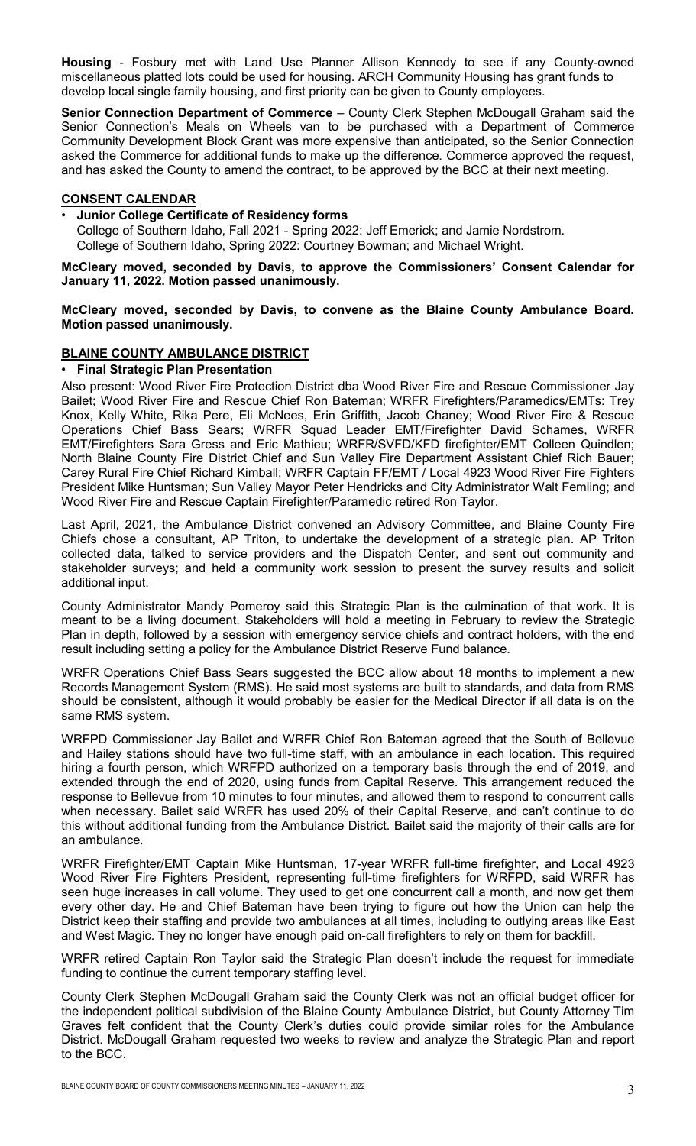**Housing** - Fosbury met with Land Use Planner Allison Kennedy to see if any County-owned miscellaneous platted lots could be used for housing. ARCH Community Housing has grant funds to develop local single family housing, and first priority can be given to County employees.

**Senior Connection Department of Commerce** - County Clerk Stephen McDougall Graham said the Senior Connection's Meals on Wheels van to be purchased with a Department of Commerce Community Development Block Grant was more expensive than anticipated, so the Senior Connection asked the Commerce for additional funds to make up the difference. Commerce approved the request, and has asked the County to amend the contract, to be approved by the BCC at their next meeting.

## **CONSENT CALENDAR**

## • **Junior College Certificate of Residency forms**

College of Southern Idaho, Fall 2021 - Spring 2022: Jeff Emerick; and Jamie Nordstrom. College of Southern Idaho, Spring 2022: Courtney Bowman; and Michael Wright.

**McCleary moved, seconded by Davis, to approve the Commissioners' Consent Calendar for January 11, 2022. Motion passed unanimously.**

## **McCleary moved, seconded by Davis, to convene as the Blaine County Ambulance Board. Motion passed unanimously.**

## **BLAINE COUNTY AMBULANCE DISTRICT**

#### • **Final Strategic Plan Presentation**

Also present: Wood River Fire Protection District dba Wood River Fire and Rescue Commissioner Jay Bailet; Wood River Fire and Rescue Chief Ron Bateman; WRFR Firefighters/Paramedics/EMTs: Trey Knox, Kelly White, Rika Pere, Eli McNees, Erin Griffith, Jacob Chaney; Wood River Fire & Rescue Operations Chief Bass Sears; WRFR Squad Leader EMT/Firefighter David Schames, WRFR EMT/Firefighters Sara Gress and Eric Mathieu; WRFR/SVFD/KFD firefighter/EMT Colleen Quindlen; North Blaine County Fire District Chief and Sun Valley Fire Department Assistant Chief Rich Bauer; Carey Rural Fire Chief Richard Kimball; WRFR Captain FF/EMT / Local 4923 Wood River Fire Fighters President Mike Huntsman; Sun Valley Mayor Peter Hendricks and City Administrator Walt Femling; and Wood River Fire and Rescue Captain Firefighter/Paramedic retired Ron Taylor.

Last April, 2021, the Ambulance District convened an Advisory Committee, and Blaine County Fire Chiefs chose a consultant, AP Triton, to undertake the development of a strategic plan. AP Triton collected data, talked to service providers and the Dispatch Center, and sent out community and stakeholder surveys; and held a community work session to present the survey results and solicit additional input.

County Administrator Mandy Pomeroy said this Strategic Plan is the culmination of that work. It is meant to be a living document. Stakeholders will hold a meeting in February to review the Strategic Plan in depth, followed by a session with emergency service chiefs and contract holders, with the end result including setting a policy for the Ambulance District Reserve Fund balance.

WRFR Operations Chief Bass Sears suggested the BCC allow about 18 months to implement a new Records Management System (RMS). He said most systems are built to standards, and data from RMS should be consistent, although it would probably be easier for the Medical Director if all data is on the same RMS system.

WRFPD Commissioner Jay Bailet and WRFR Chief Ron Bateman agreed that the South of Bellevue and Hailey stations should have two full-time staff, with an ambulance in each location. This required hiring a fourth person, which WRFPD authorized on a temporary basis through the end of 2019, and extended through the end of 2020, using funds from Capital Reserve. This arrangement reduced the response to Bellevue from 10 minutes to four minutes, and allowed them to respond to concurrent calls when necessary. Bailet said WRFR has used 20% of their Capital Reserve, and can't continue to do this without additional funding from the Ambulance District. Bailet said the majority of their calls are for an ambulance.

WRFR Firefighter/EMT Captain Mike Huntsman, 17-year WRFR full-time firefighter, and Local 4923 Wood River Fire Fighters President, representing full-time firefighters for WRFPD, said WRFR has seen huge increases in call volume. They used to get one concurrent call a month, and now get them every other day. He and Chief Bateman have been trying to figure out how the Union can help the District keep their staffing and provide two ambulances at all times, including to outlying areas like East and West Magic. They no longer have enough paid on-call firefighters to rely on them for backfill.

WRFR retired Captain Ron Taylor said the Strategic Plan doesn't include the request for immediate funding to continue the current temporary staffing level.

County Clerk Stephen McDougall Graham said the County Clerk was not an official budget officer for the independent political subdivision of the Blaine County Ambulance District, but County Attorney Tim Graves felt confident that the County Clerk's duties could provide similar roles for the Ambulance District. McDougall Graham requested two weeks to review and analyze the Strategic Plan and report to the BCC.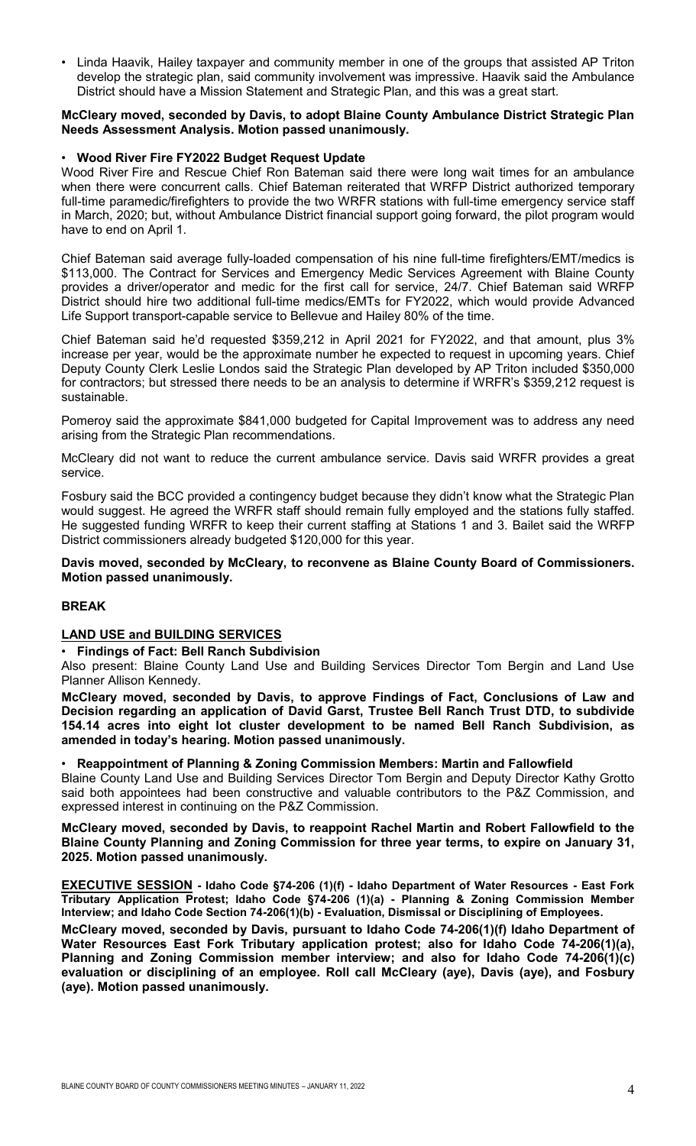• Linda Haavik, Hailey taxpayer and community member in one of the groups that assisted AP Triton develop the strategic plan, said community involvement was impressive. Haavik said the Ambulance District should have a Mission Statement and Strategic Plan, and this was a great start.

## **McCleary moved, seconded by Davis, to adopt Blaine County Ambulance District Strategic Plan Needs Assessment Analysis. Motion passed unanimously.**

#### • **Wood River Fire FY2022 Budget Request Update**

Wood River Fire and Rescue Chief Ron Bateman said there were long wait times for an ambulance when there were concurrent calls. Chief Bateman reiterated that WRFP District authorized temporary full-time paramedic/firefighters to provide the two WRFR stations with full-time emergency service staff in March, 2020; but, without Ambulance District financial support going forward, the pilot program would have to end on April 1.

Chief Bateman said average fully-loaded compensation of his nine full-time firefighters/EMT/medics is \$113,000. The Contract for Services and Emergency Medic Services Agreement with Blaine County provides a driver/operator and medic for the first call for service, 24/7. Chief Bateman said WRFP District should hire two additional full-time medics/EMTs for FY2022, which would provide Advanced Life Support transport-capable service to Bellevue and Hailey 80% of the time.

Chief Bateman said he'd requested \$359,212 in April 2021 for FY2022, and that amount, plus 3% increase per year, would be the approximate number he expected to request in upcoming years. Chief Deputy County Clerk Leslie Londos said the Strategic Plan developed by AP Triton included \$350,000 for contractors; but stressed there needs to be an analysis to determine if WRFR's \$359,212 request is sustainable.

Pomeroy said the approximate \$841,000 budgeted for Capital Improvement was to address any need arising from the Strategic Plan recommendations.

McCleary did not want to reduce the current ambulance service. Davis said WRFR provides a great service.

Fosbury said the BCC provided a contingency budget because they didn't know what the Strategic Plan would suggest. He agreed the WRFR staff should remain fully employed and the stations fully staffed. He suggested funding WRFR to keep their current staffing at Stations 1 and 3. Bailet said the WRFP District commissioners already budgeted \$120,000 for this year.

#### **Davis moved, seconded by McCleary, to reconvene as Blaine County Board of Commissioners. Motion passed unanimously.**

## **BREAK**

#### **LAND USE and BUILDING SERVICES**

# • **Findings of Fact: Bell Ranch Subdivision**

Also present: Blaine County Land Use and Building Services Director Tom Bergin and Land Use Planner Allison Kennedy.

**McCleary moved, seconded by Davis, to approve Findings of Fact, Conclusions of Law and Decision regarding an application of David Garst, Trustee Bell Ranch Trust DTD, to subdivide 154.14 acres into eight lot cluster development to be named Bell Ranch Subdivision, as amended in today's hearing. Motion passed unanimously.**

#### • **Reappointment of Planning & Zoning Commission Members: Martin and Fallowfield**

Blaine County Land Use and Building Services Director Tom Bergin and Deputy Director Kathy Grotto said both appointees had been constructive and valuable contributors to the P&Z Commission, and expressed interest in continuing on the P&Z Commission.

**McCleary moved, seconded by Davis, to reappoint Rachel Martin and Robert Fallowfield to the Blaine County Planning and Zoning Commission for three year terms, to expire on January 31, 2025. Motion passed unanimously.**

**EXECUTIVE SESSION - Idaho Code §74-206 (1)(f) - Idaho Department of Water Resources - East Fork Tributary Application Protest; Idaho Code §74-206 (1)(a) - Planning & Zoning Commission Member Interview; and Idaho Code Section 74-206(1)(b) - Evaluation, Dismissal or Disciplining of Employees.**

**McCleary moved, seconded by Davis, pursuant to Idaho Code 74-206(1)(f) Idaho Department of Water Resources East Fork Tributary application protest; also for Idaho Code 74-206(1)(a), Planning and Zoning Commission member interview; and also for Idaho Code 74-206(1)(c) evaluation or disciplining of an employee. Roll call McCleary (aye), Davis (aye), and Fosbury (aye). Motion passed unanimously.**